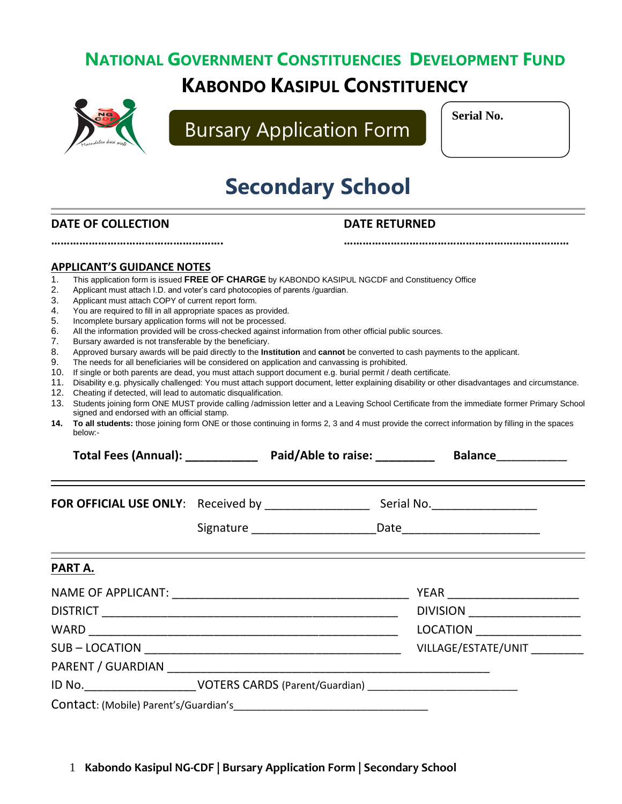## **NATIONAL GOVERNMENT CONSTITUENCIES DEVELOPMENT FUND KABONDO KASIPUL CONSTITUENCY**



Bursary Application Form

**Serial No.**

# **Secondary School**

**………………………………………………. ………………………………………………………………**

#### **DATE OF COLLECTION DATE RETURNED**

**APPLICANT'S GUIDANCE NOTES** 1. This application form is issued **FREE OF CHARGE** by KABONDO KASIPUL NGCDF and Constituency Office 2. Applicant must attach I.D. and voter's card photocopies of parents /guardian. 3. Applicant must attach COPY of current report form. 4. You are required to fill in all appropriate spaces as provided. 5. Incomplete bursary application forms will not be processed. 6. All the information provided will be cross-checked against information from other official public sources. 7. Bursary awarded is not transferable by the beneficiary. 8. Approved bursary awards will be paid directly to the **Institution** and **cannot** be converted to cash payments to the applicant. 9. The needs for all beneficiaries will be considered on application and canvassing is prohibited. 10. If single or both parents are dead, you must attach support document e.g. burial permit / death certificate. 11. Disability e.g. physically challenged: You must attach support document, letter explaining disability or other disadvantages and circumstance. 12. Cheating if detected, will lead to automatic disqualification. 13. Students joining form ONE MUST provide calling /admission letter and a Leaving School Certificate from the immediate former Primary School signed and endorsed with an official stamp. **14. To all students:** those joining form ONE or those continuing in forms 2, 3 and 4 must provide the correct information by filling in the spaces below:- **Total Fees (Annual): \_\_\_\_\_\_\_\_\_\_\_ Paid/Able to raise: \_\_\_\_\_\_\_\_\_ Balance\_\_\_\_\_\_\_\_\_\_\_\_\_\_ FOR OFFICIAL USE ONLY**: Received by \_\_\_\_\_\_\_\_\_\_\_\_\_\_\_\_ Serial No.\_\_\_\_\_\_\_\_\_\_\_\_\_\_\_\_ Signature \_\_\_\_\_\_\_\_\_\_\_\_\_\_\_\_\_\_\_Date\_\_\_\_\_\_\_\_\_\_\_\_\_\_\_\_\_\_\_\_\_ **PART A.** NAME OF APPLICANT: \_\_\_\_\_\_\_\_\_\_\_\_\_\_\_\_\_\_\_\_\_\_\_\_\_\_\_\_\_\_\_\_\_\_\_\_ YEAR \_\_\_\_\_\_\_\_\_\_\_\_\_\_\_\_\_\_\_\_ DISTRICT \_\_\_\_\_\_\_\_\_\_\_\_\_\_\_\_\_\_\_\_\_\_\_\_\_\_\_\_\_\_\_\_\_\_\_\_\_\_\_\_\_\_\_\_\_ DIVISION \_\_\_\_\_\_\_\_\_\_\_\_\_\_\_\_\_ WARD \_\_\_\_\_\_\_\_\_\_\_\_\_\_\_\_\_\_\_\_\_\_\_\_\_\_\_\_\_\_\_\_\_\_\_\_\_\_\_\_\_\_\_\_\_\_\_ LOCATION \_\_\_\_\_\_\_\_\_\_\_\_\_\_\_\_ SUB – LOCATION \_\_\_\_\_\_\_\_\_\_\_\_\_\_\_\_\_\_\_\_\_\_\_\_\_\_\_\_\_\_\_\_\_\_\_\_\_\_\_ VILLAGE/ESTATE/UNIT \_\_\_\_\_\_\_\_ PARENT / GUARDIAN \_\_\_\_\_\_\_\_\_\_\_\_\_\_\_\_\_\_\_\_\_\_\_\_\_\_\_\_\_\_\_\_\_\_\_\_\_\_\_\_\_\_\_\_\_\_\_\_\_ ID No.\_\_\_\_\_\_\_\_\_\_\_\_\_\_\_\_\_VOTERS CARDS (Parent/Guardian) \_\_\_\_\_\_\_\_\_\_\_\_\_\_\_\_\_\_\_\_\_\_\_\_\_\_\_ Contact: (Mobile) Parent's/Guardian's\_\_\_\_\_\_\_\_\_\_\_\_\_\_\_\_\_\_\_\_\_\_\_\_\_\_\_\_\_\_\_\_\_\_\_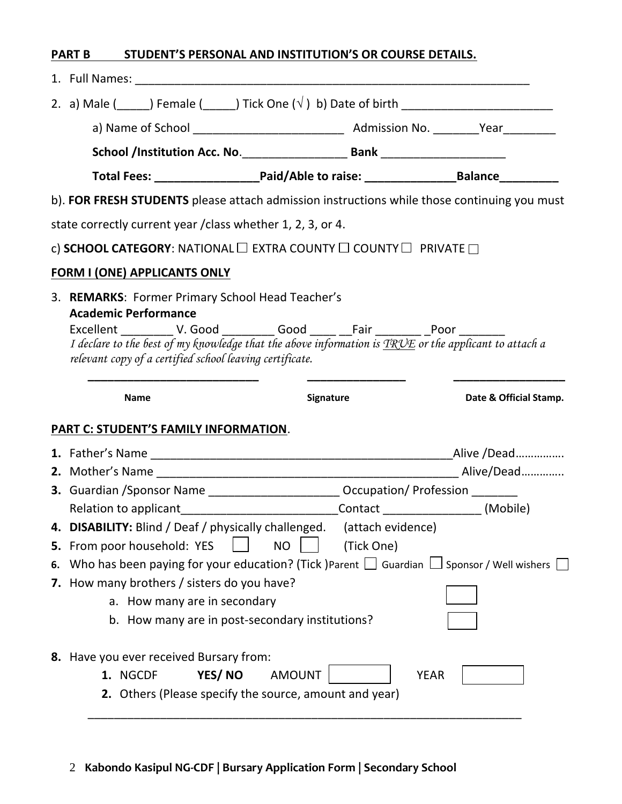| <b>PART B</b> | STUDENT'S PERSONAL AND INSTITUTION'S OR COURSE DETAILS. |  |
|---------------|---------------------------------------------------------|--|
|               |                                                         |  |

| 1. Full Names:                                                                                                                                                                                                                                                                                                                                                   |                                                                                                     |                        |
|------------------------------------------------------------------------------------------------------------------------------------------------------------------------------------------------------------------------------------------------------------------------------------------------------------------------------------------------------------------|-----------------------------------------------------------------------------------------------------|------------------------|
|                                                                                                                                                                                                                                                                                                                                                                  |                                                                                                     |                        |
|                                                                                                                                                                                                                                                                                                                                                                  |                                                                                                     |                        |
|                                                                                                                                                                                                                                                                                                                                                                  |                                                                                                     |                        |
|                                                                                                                                                                                                                                                                                                                                                                  | Total Fees: __________________________Paid/Able to raise: ______________________Balance____________ |                        |
| b). FOR FRESH STUDENTS please attach admission instructions while those continuing you must                                                                                                                                                                                                                                                                      |                                                                                                     |                        |
| state correctly current year / class whether 1, 2, 3, or 4.                                                                                                                                                                                                                                                                                                      |                                                                                                     |                        |
| c) SCHOOL CATEGORY: NATIONAL $\Box$ EXTRA COUNTY $\Box$ COUNTY $\Box$ PRIVATE $\Box$                                                                                                                                                                                                                                                                             |                                                                                                     |                        |
| <b>FORM I (ONE) APPLICANTS ONLY</b>                                                                                                                                                                                                                                                                                                                              |                                                                                                     |                        |
| 3. REMARKS: Former Primary School Head Teacher's<br><b>Academic Performance</b><br>Excellent _____________ V. Good ___________ Good ______ __Fair __________ _Poor _________<br>I declare to the best of my knowledge that the above information is $T R \mathcal{V} E$ or the applicant to attach a<br>relevant copy of a certified school leaving certificate. |                                                                                                     |                        |
| <b>Name</b>                                                                                                                                                                                                                                                                                                                                                      | Signature                                                                                           | Date & Official Stamp. |
| <b>PART C: STUDENT'S FAMILY INFORMATION.</b>                                                                                                                                                                                                                                                                                                                     |                                                                                                     |                        |
|                                                                                                                                                                                                                                                                                                                                                                  |                                                                                                     |                        |
|                                                                                                                                                                                                                                                                                                                                                                  |                                                                                                     |                        |
|                                                                                                                                                                                                                                                                                                                                                                  |                                                                                                     |                        |
| 3. Guardian / Sponsor Name _________________________ Occupation/ Profession ______                                                                                                                                                                                                                                                                               |                                                                                                     |                        |
| Relation to applicant_______________________________Contact __________________(Mobile)                                                                                                                                                                                                                                                                           |                                                                                                     |                        |
| 4. DISABILITY: Blind / Deaf / physically challenged.                                                                                                                                                                                                                                                                                                             | (attach evidence)                                                                                   |                        |
| 5. From poor household: YES                                                                                                                                                                                                                                                                                                                                      | <b>NO</b><br>(Tick One)                                                                             |                        |
| 6. Who has been paying for your education? (Tick )Parent $\Box$ Guardian $\Box$ Sponsor / Well wishers [                                                                                                                                                                                                                                                         |                                                                                                     |                        |
| 7. How many brothers / sisters do you have?                                                                                                                                                                                                                                                                                                                      |                                                                                                     |                        |
| a. How many are in secondary                                                                                                                                                                                                                                                                                                                                     |                                                                                                     |                        |
| b. How many are in post-secondary institutions?                                                                                                                                                                                                                                                                                                                  |                                                                                                     |                        |

2 **Kabondo Kasipul NG-CDF | Bursary Application Form | Secondary School**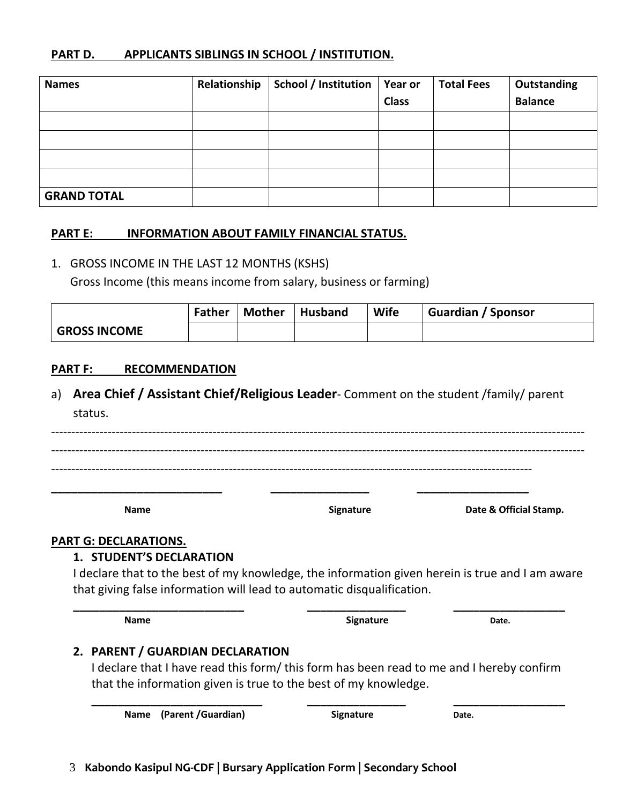#### **PART D. APPLICANTS SIBLINGS IN SCHOOL / INSTITUTION.**

| <b>Names</b>       | Relationship | School / Institution | <b>Year or</b> | <b>Total Fees</b> | Outstanding    |
|--------------------|--------------|----------------------|----------------|-------------------|----------------|
|                    |              |                      | <b>Class</b>   |                   | <b>Balance</b> |
|                    |              |                      |                |                   |                |
|                    |              |                      |                |                   |                |
|                    |              |                      |                |                   |                |
|                    |              |                      |                |                   |                |
| <b>GRAND TOTAL</b> |              |                      |                |                   |                |

#### **PART E: INFORMATION ABOUT FAMILY FINANCIAL STATUS.**

#### 1. GROSS INCOME IN THE LAST 12 MONTHS (KSHS)

Gross Income (this means income from salary, business or farming)

|                     | Father | Mother   Husband | <b>Wife</b> | Guardian / Sponsor |
|---------------------|--------|------------------|-------------|--------------------|
| <b>GROSS INCOME</b> |        |                  |             |                    |

#### **PART F: RECOMMENDATION**

a) **Area Chief / Assistant Chief/Religious Leader**- Comment on the student /family/ parent status.

------------------------------------------------------------------------------------------------------------------------------------ ------------------------------------------------------------------------------------------------------------------------------------ ----------------------------------------------------------------------------------------------------------------------- **\_\_\_\_\_\_\_\_\_\_\_\_\_\_\_\_\_\_\_\_\_\_\_\_\_\_ \_\_\_\_\_\_\_\_\_\_\_\_\_\_\_ \_\_\_\_\_\_\_\_\_\_\_\_\_\_\_\_\_**

**Name Signature Signature Date & Official Stamp.** 

#### **PART G: DECLARATIONS.**

#### **1. STUDENT'S DECLARATION**

I declare that to the best of my knowledge, the information given herein is true and I am aware that giving false information will lead to automatic disqualification.

**Name Date. Date. Date. Date. Date. Date. Date.** 

**\_\_\_\_\_\_\_\_\_\_\_\_\_\_\_\_\_\_\_\_\_\_\_\_\_\_ \_\_\_\_\_\_\_\_\_\_\_\_\_\_\_ \_\_\_\_\_\_\_\_\_\_\_\_\_\_\_\_\_**

#### **2. PARENT / GUARDIAN DECLARATION**

I declare that I have read this form/ this form has been read to me and I hereby confirm that the information given is true to the best of my knowledge.

**\_\_\_\_\_\_\_\_\_\_\_\_\_\_\_\_\_\_\_\_\_\_\_\_\_\_ \_\_\_\_\_\_\_\_\_\_\_\_\_\_\_ \_\_\_\_\_\_\_\_\_\_\_\_\_\_\_\_\_**

**Name** (Parent /Guardian) Signature **Date.**